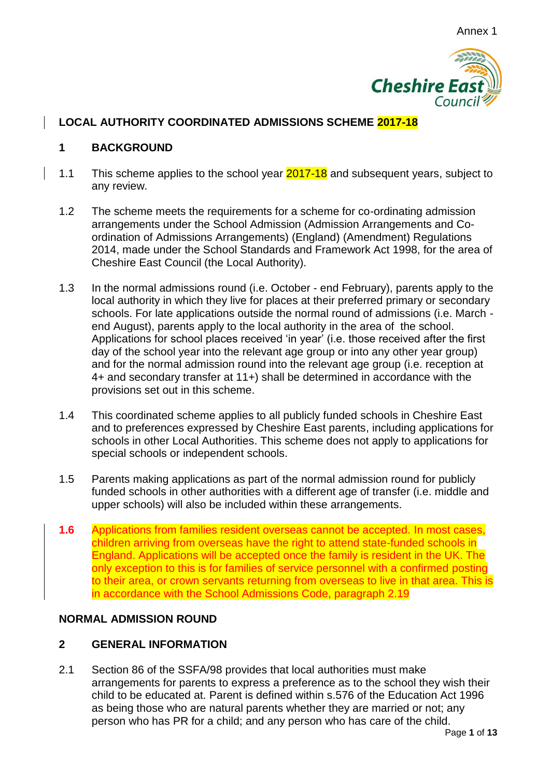

## **LOCAL AUTHORITY COORDINATED ADMISSIONS SCHEME 2017-18**

### **1 BACKGROUND**

- 1.1 This scheme applies to the school year **2017-18** and subsequent years, subject to any review.
- 1.2 The scheme meets the requirements for a scheme for co-ordinating admission arrangements under the School Admission (Admission Arrangements and Coordination of Admissions Arrangements) (England) (Amendment) Regulations 2014, made under the School Standards and Framework Act 1998, for the area of Cheshire East Council (the Local Authority).
- 1.3 In the normal admissions round (i.e. October end February), parents apply to the local authority in which they live for places at their preferred primary or secondary schools. For late applications outside the normal round of admissions (i.e. March end August), parents apply to the local authority in the area of the school. Applications for school places received 'in year' (i.e. those received after the first day of the school year into the relevant age group or into any other year group) and for the normal admission round into the relevant age group (i.e. reception at 4+ and secondary transfer at 11+) shall be determined in accordance with the provisions set out in this scheme.
- 1.4 This coordinated scheme applies to all publicly funded schools in Cheshire East and to preferences expressed by Cheshire East parents, including applications for schools in other Local Authorities. This scheme does not apply to applications for special schools or independent schools.
- 1.5 Parents making applications as part of the normal admission round for publicly funded schools in other authorities with a different age of transfer (i.e. middle and upper schools) will also be included within these arrangements.
- **1.6** Applications from families resident overseas cannot be accepted. In most cases, children arriving from overseas have the right to attend state-funded schools in England. Applications will be accepted once the family is resident in the UK. The only exception to this is for families of service personnel with a confirmed posting to their area, or crown servants returning from overseas to live in that area. This is in accordance with the School Admissions Code, paragraph 2.19

### **NORMAL ADMISSION ROUND**

## **2 GENERAL INFORMATION**

2.1 Section 86 of the SSFA/98 provides that local authorities must make arrangements for parents to express a preference as to the school they wish their child to be educated at. Parent is defined within s.576 of the Education Act 1996 as being those who are natural parents whether they are married or not; any person who has PR for a child; and any person who has care of the child.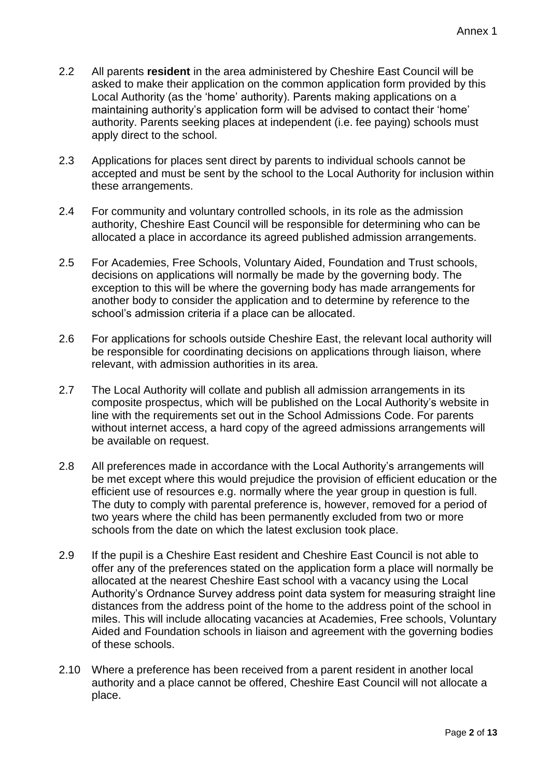- 2.2 All parents **resident** in the area administered by Cheshire East Council will be asked to make their application on the common application form provided by this Local Authority (as the 'home' authority). Parents making applications on a maintaining authority's application form will be advised to contact their 'home' authority. Parents seeking places at independent (i.e. fee paying) schools must apply direct to the school.
- 2.3 Applications for places sent direct by parents to individual schools cannot be accepted and must be sent by the school to the Local Authority for inclusion within these arrangements.
- 2.4 For community and voluntary controlled schools, in its role as the admission authority, Cheshire East Council will be responsible for determining who can be allocated a place in accordance its agreed published admission arrangements.
- 2.5 For Academies, Free Schools, Voluntary Aided, Foundation and Trust schools, decisions on applications will normally be made by the governing body. The exception to this will be where the governing body has made arrangements for another body to consider the application and to determine by reference to the school's admission criteria if a place can be allocated.
- 2.6 For applications for schools outside Cheshire East, the relevant local authority will be responsible for coordinating decisions on applications through liaison, where relevant, with admission authorities in its area.
- 2.7 The Local Authority will collate and publish all admission arrangements in its composite prospectus, which will be published on the Local Authority's website in line with the requirements set out in the School Admissions Code. For parents without internet access, a hard copy of the agreed admissions arrangements will be available on request.
- 2.8 All preferences made in accordance with the Local Authority's arrangements will be met except where this would prejudice the provision of efficient education or the efficient use of resources e.g. normally where the year group in question is full. The duty to comply with parental preference is, however, removed for a period of two years where the child has been permanently excluded from two or more schools from the date on which the latest exclusion took place.
- 2.9 If the pupil is a Cheshire East resident and Cheshire East Council is not able to offer any of the preferences stated on the application form a place will normally be allocated at the nearest Cheshire East school with a vacancy using the Local Authority's Ordnance Survey address point data system for measuring straight line distances from the address point of the home to the address point of the school in miles. This will include allocating vacancies at Academies, Free schools, Voluntary Aided and Foundation schools in liaison and agreement with the governing bodies of these schools.
- 2.10 Where a preference has been received from a parent resident in another local authority and a place cannot be offered, Cheshire East Council will not allocate a place.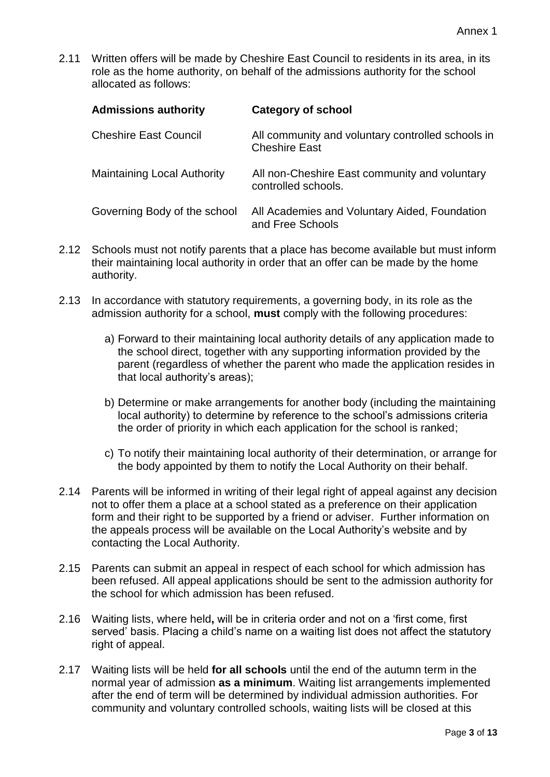2.11 Written offers will be made by Cheshire East Council to residents in its area, in its role as the home authority, on behalf of the admissions authority for the school allocated as follows:

| <b>Admissions authority</b>        | <b>Category of school</b>                                                 |
|------------------------------------|---------------------------------------------------------------------------|
| <b>Cheshire East Council</b>       | All community and voluntary controlled schools in<br><b>Cheshire East</b> |
| <b>Maintaining Local Authority</b> | All non-Cheshire East community and voluntary<br>controlled schools.      |
| Governing Body of the school       | All Academies and Voluntary Aided, Foundation<br>and Free Schools         |

- 2.12 Schools must not notify parents that a place has become available but must inform their maintaining local authority in order that an offer can be made by the home authority.
- 2.13 In accordance with statutory requirements, a governing body, in its role as the admission authority for a school, **must** comply with the following procedures:
	- a) Forward to their maintaining local authority details of any application made to the school direct, together with any supporting information provided by the parent (regardless of whether the parent who made the application resides in that local authority's areas);
	- b) Determine or make arrangements for another body (including the maintaining local authority) to determine by reference to the school's admissions criteria the order of priority in which each application for the school is ranked;
	- c) To notify their maintaining local authority of their determination, or arrange for the body appointed by them to notify the Local Authority on their behalf.
- 2.14 Parents will be informed in writing of their legal right of appeal against any decision not to offer them a place at a school stated as a preference on their application form and their right to be supported by a friend or adviser. Further information on the appeals process will be available on the Local Authority's website and by contacting the Local Authority.
- 2.15 Parents can submit an appeal in respect of each school for which admission has been refused. All appeal applications should be sent to the admission authority for the school for which admission has been refused.
- 2.16 Waiting lists, where held**,** will be in criteria order and not on a 'first come, first served' basis. Placing a child's name on a waiting list does not affect the statutory right of appeal.
- 2.17 Waiting lists will be held **for all schools** until the end of the autumn term in the normal year of admission **as a minimum**. Waiting list arrangements implemented after the end of term will be determined by individual admission authorities. For community and voluntary controlled schools, waiting lists will be closed at this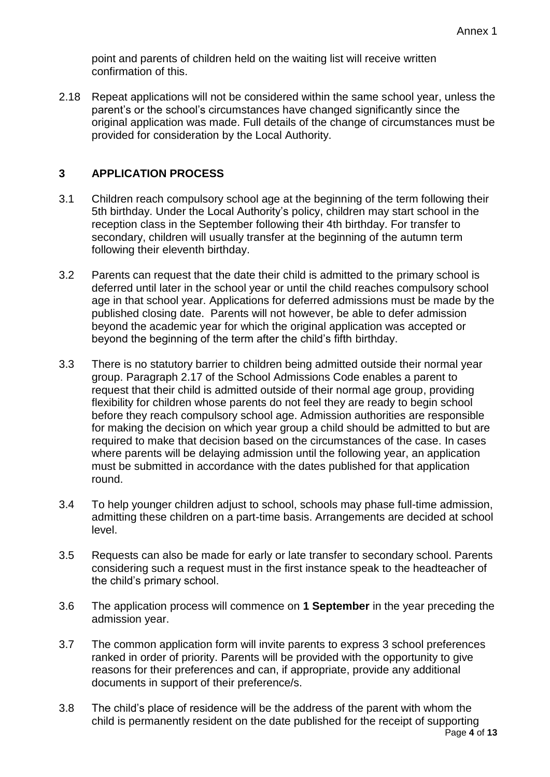point and parents of children held on the waiting list will receive written confirmation of this.

2.18 Repeat applications will not be considered within the same school year, unless the parent's or the school's circumstances have changed significantly since the original application was made. Full details of the change of circumstances must be provided for consideration by the Local Authority.

### **3 APPLICATION PROCESS**

- 3.1 Children reach compulsory school age at the beginning of the term following their 5th birthday. Under the Local Authority's policy, children may start school in the reception class in the September following their 4th birthday. For transfer to secondary, children will usually transfer at the beginning of the autumn term following their eleventh birthday.
- 3.2 Parents can request that the date their child is admitted to the primary school is deferred until later in the school year or until the child reaches compulsory school age in that school year. Applications for deferred admissions must be made by the published closing date. Parents will not however, be able to defer admission beyond the academic year for which the original application was accepted or beyond the beginning of the term after the child's fifth birthday.
- 3.3 There is no statutory barrier to children being admitted outside their normal year group. Paragraph 2.17 of the School Admissions Code enables a parent to request that their child is admitted outside of their normal age group, providing flexibility for children whose parents do not feel they are ready to begin school before they reach compulsory school age. Admission authorities are responsible for making the decision on which year group a child should be admitted to but are required to make that decision based on the circumstances of the case. In cases where parents will be delaying admission until the following year, an application must be submitted in accordance with the dates published for that application round.
- 3.4 To help younger children adjust to school, schools may phase full-time admission, admitting these children on a part-time basis. Arrangements are decided at school level.
- 3.5 Requests can also be made for early or late transfer to secondary school. Parents considering such a request must in the first instance speak to the headteacher of the child's primary school.
- 3.6 The application process will commence on **1 September** in the year preceding the admission year.
- 3.7 The common application form will invite parents to express 3 school preferences ranked in order of priority. Parents will be provided with the opportunity to give reasons for their preferences and can, if appropriate, provide any additional documents in support of their preference/s.
- 3.8 The child's place of residence will be the address of the parent with whom the child is permanently resident on the date published for the receipt of supporting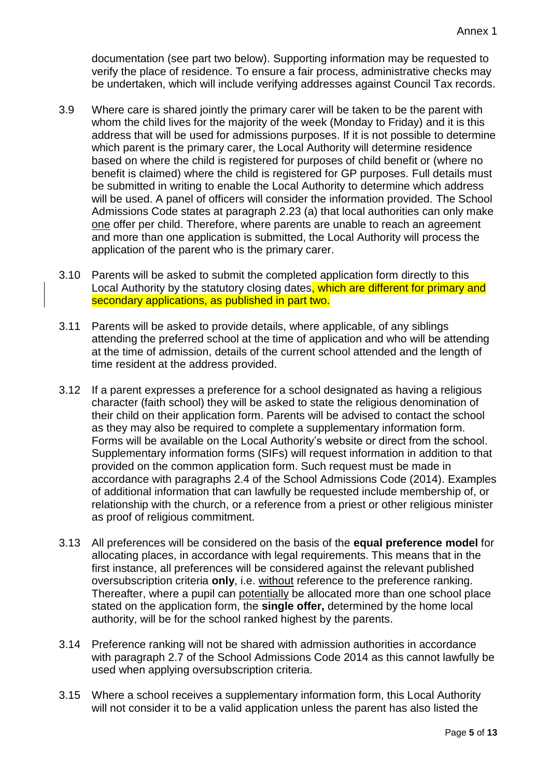documentation (see part two below). Supporting information may be requested to verify the place of residence. To ensure a fair process, administrative checks may be undertaken, which will include verifying addresses against Council Tax records.

- 3.9 Where care is shared jointly the primary carer will be taken to be the parent with whom the child lives for the majority of the week (Monday to Friday) and it is this address that will be used for admissions purposes. If it is not possible to determine which parent is the primary carer, the Local Authority will determine residence based on where the child is registered for purposes of child benefit or (where no benefit is claimed) where the child is registered for GP purposes. Full details must be submitted in writing to enable the Local Authority to determine which address will be used. A panel of officers will consider the information provided. The School Admissions Code states at paragraph 2.23 (a) that local authorities can only make one offer per child. Therefore, where parents are unable to reach an agreement and more than one application is submitted, the Local Authority will process the application of the parent who is the primary carer.
- 3.10 Parents will be asked to submit the completed application form directly to this Local Authority by the statutory closing dates, which are different for primary and secondary applications, as published in part two.
- 3.11 Parents will be asked to provide details, where applicable, of any siblings attending the preferred school at the time of application and who will be attending at the time of admission, details of the current school attended and the length of time resident at the address provided.
- 3.12 If a parent expresses a preference for a school designated as having a religious character (faith school) they will be asked to state the religious denomination of their child on their application form. Parents will be advised to contact the school as they may also be required to complete a supplementary information form. Forms will be available on the Local Authority's website or direct from the school. Supplementary information forms (SIFs) will request information in addition to that provided on the common application form. Such request must be made in accordance with paragraphs 2.4 of the School Admissions Code (2014). Examples of additional information that can lawfully be requested include membership of, or relationship with the church, or a reference from a priest or other religious minister as proof of religious commitment.
- 3.13 All preferences will be considered on the basis of the **equal preference model** for allocating places, in accordance with legal requirements. This means that in the first instance, all preferences will be considered against the relevant published oversubscription criteria **only**, i.e. without reference to the preference ranking. Thereafter, where a pupil can potentially be allocated more than one school place stated on the application form, the **single offer,** determined by the home local authority, will be for the school ranked highest by the parents.
- 3.14 Preference ranking will not be shared with admission authorities in accordance with paragraph 2.7 of the School Admissions Code 2014 as this cannot lawfully be used when applying oversubscription criteria.
- 3.15 Where a school receives a supplementary information form, this Local Authority will not consider it to be a valid application unless the parent has also listed the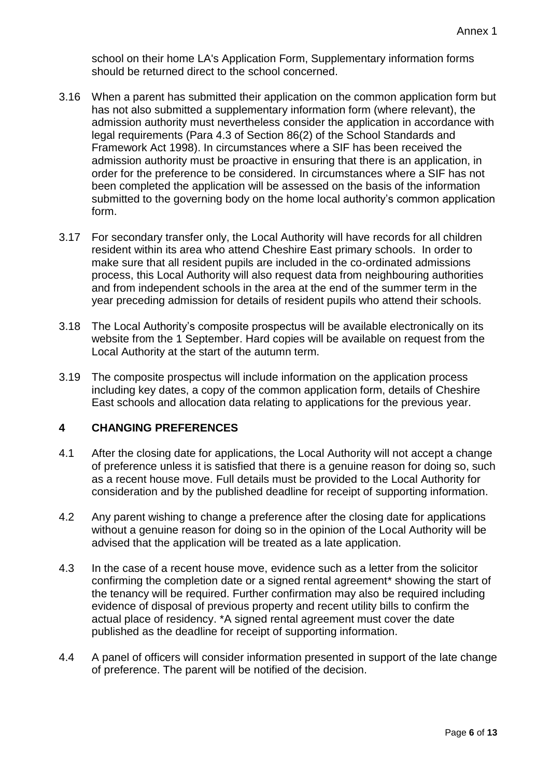school on their home LA's Application Form, Supplementary information forms should be returned direct to the school concerned.

- 3.16 When a parent has submitted their application on the common application form but has not also submitted a supplementary information form (where relevant), the admission authority must nevertheless consider the application in accordance with legal requirements (Para 4.3 of Section 86(2) of the School Standards and Framework Act 1998). In circumstances where a SIF has been received the admission authority must be proactive in ensuring that there is an application, in order for the preference to be considered. In circumstances where a SIF has not been completed the application will be assessed on the basis of the information submitted to the governing body on the home local authority's common application form.
- 3.17 For secondary transfer only, the Local Authority will have records for all children resident within its area who attend Cheshire East primary schools. In order to make sure that all resident pupils are included in the co-ordinated admissions process, this Local Authority will also request data from neighbouring authorities and from independent schools in the area at the end of the summer term in the year preceding admission for details of resident pupils who attend their schools.
- 3.18 The Local Authority's composite prospectus will be available electronically on its website from the 1 September. Hard copies will be available on request from the Local Authority at the start of the autumn term.
- 3.19 The composite prospectus will include information on the application process including key dates, a copy of the common application form, details of Cheshire East schools and allocation data relating to applications for the previous year.

## **4 CHANGING PREFERENCES**

- 4.1 After the closing date for applications, the Local Authority will not accept a change of preference unless it is satisfied that there is a genuine reason for doing so, such as a recent house move. Full details must be provided to the Local Authority for consideration and by the published deadline for receipt of supporting information.
- 4.2 Any parent wishing to change a preference after the closing date for applications without a genuine reason for doing so in the opinion of the Local Authority will be advised that the application will be treated as a late application.
- 4.3 In the case of a recent house move, evidence such as a letter from the solicitor confirming the completion date or a signed rental agreement\* showing the start of the tenancy will be required. Further confirmation may also be required including evidence of disposal of previous property and recent utility bills to confirm the actual place of residency. \*A signed rental agreement must cover the date published as the deadline for receipt of supporting information.
- 4.4 A panel of officers will consider information presented in support of the late change of preference. The parent will be notified of the decision.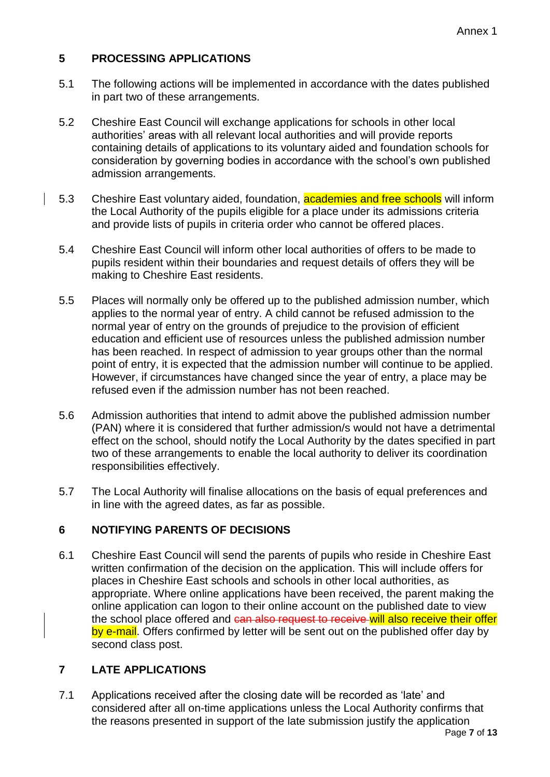# **5 PROCESSING APPLICATIONS**

- 5.1 The following actions will be implemented in accordance with the dates published in part two of these arrangements.
- 5.2 Cheshire East Council will exchange applications for schools in other local authorities' areas with all relevant local authorities and will provide reports containing details of applications to its voluntary aided and foundation schools for consideration by governing bodies in accordance with the school's own published admission arrangements.
- 5.3 Cheshire East voluntary aided, foundation, academies and free schools will inform the Local Authority of the pupils eligible for a place under its admissions criteria and provide lists of pupils in criteria order who cannot be offered places.
- 5.4 Cheshire East Council will inform other local authorities of offers to be made to pupils resident within their boundaries and request details of offers they will be making to Cheshire East residents.
- 5.5 Places will normally only be offered up to the published admission number, which applies to the normal year of entry. A child cannot be refused admission to the normal year of entry on the grounds of prejudice to the provision of efficient education and efficient use of resources unless the published admission number has been reached. In respect of admission to year groups other than the normal point of entry, it is expected that the admission number will continue to be applied. However, if circumstances have changed since the year of entry, a place may be refused even if the admission number has not been reached.
- 5.6 Admission authorities that intend to admit above the published admission number (PAN) where it is considered that further admission/s would not have a detrimental effect on the school, should notify the Local Authority by the dates specified in part two of these arrangements to enable the local authority to deliver its coordination responsibilities effectively.
- 5.7 The Local Authority will finalise allocations on the basis of equal preferences and in line with the agreed dates, as far as possible.

# **6 NOTIFYING PARENTS OF DECISIONS**

6.1 Cheshire East Council will send the parents of pupils who reside in Cheshire East written confirmation of the decision on the application. This will include offers for places in Cheshire East schools and schools in other local authorities, as appropriate. Where online applications have been received, the parent making the online application can logon to their online account on the published date to view the school place offered and can also request to receive will also receive their offer by e-mail. Offers confirmed by letter will be sent out on the published offer day by second class post.

# **7 LATE APPLICATIONS**

7.1 Applications received after the closing date will be recorded as 'late' and considered after all on-time applications unless the Local Authority confirms that the reasons presented in support of the late submission justify the application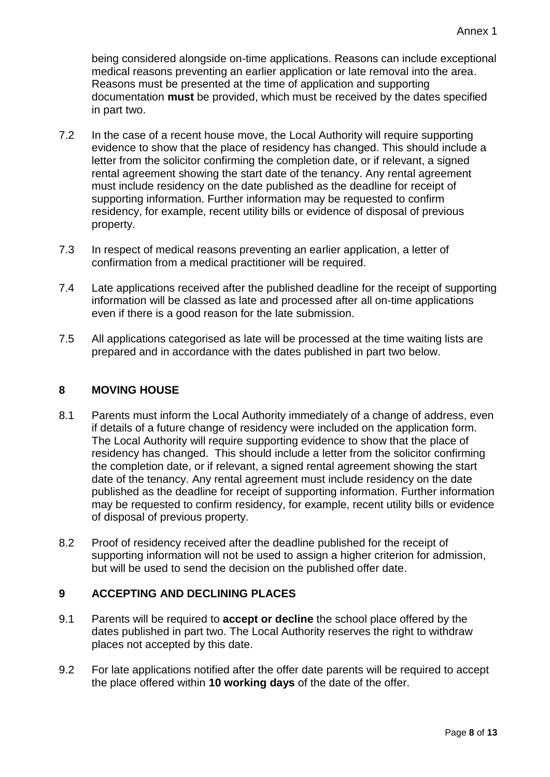being considered alongside on-time applications. Reasons can include exceptional medical reasons preventing an earlier application or late removal into the area. Reasons must be presented at the time of application and supporting documentation **must** be provided, which must be received by the dates specified in part two.

- 7.2 In the case of a recent house move, the Local Authority will require supporting evidence to show that the place of residency has changed. This should include a letter from the solicitor confirming the completion date, or if relevant, a signed rental agreement showing the start date of the tenancy. Any rental agreement must include residency on the date published as the deadline for receipt of supporting information. Further information may be requested to confirm residency, for example, recent utility bills or evidence of disposal of previous property.
- 7.3 In respect of medical reasons preventing an earlier application, a letter of confirmation from a medical practitioner will be required.
- 7.4 Late applications received after the published deadline for the receipt of supporting information will be classed as late and processed after all on-time applications even if there is a good reason for the late submission.
- 7.5 All applications categorised as late will be processed at the time waiting lists are prepared and in accordance with the dates published in part two below.

### **8 MOVING HOUSE**

- 8.1 Parents must inform the Local Authority immediately of a change of address, even if details of a future change of residency were included on the application form. The Local Authority will require supporting evidence to show that the place of residency has changed. This should include a letter from the solicitor confirming the completion date, or if relevant, a signed rental agreement showing the start date of the tenancy. Any rental agreement must include residency on the date published as the deadline for receipt of supporting information. Further information may be requested to confirm residency, for example, recent utility bills or evidence of disposal of previous property.
- 8.2 Proof of residency received after the deadline published for the receipt of supporting information will not be used to assign a higher criterion for admission, but will be used to send the decision on the published offer date.

## **9 ACCEPTING AND DECLINING PLACES**

- 9.1 Parents will be required to **accept or decline** the school place offered by the dates published in part two. The Local Authority reserves the right to withdraw places not accepted by this date.
- 9.2 For late applications notified after the offer date parents will be required to accept the place offered within **10 working days** of the date of the offer.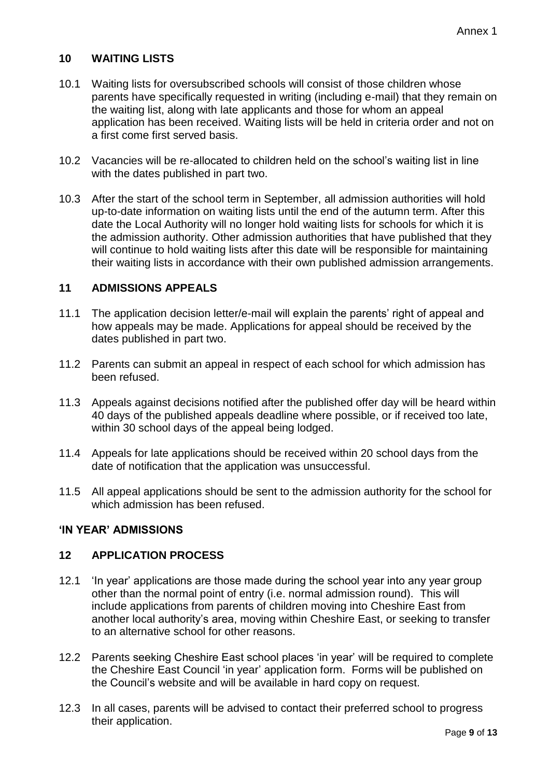## **10 WAITING LISTS**

- 10.1 Waiting lists for oversubscribed schools will consist of those children whose parents have specifically requested in writing (including e-mail) that they remain on the waiting list, along with late applicants and those for whom an appeal application has been received. Waiting lists will be held in criteria order and not on a first come first served basis.
- 10.2 Vacancies will be re-allocated to children held on the school's waiting list in line with the dates published in part two.
- 10.3 After the start of the school term in September, all admission authorities will hold up-to-date information on waiting lists until the end of the autumn term. After this date the Local Authority will no longer hold waiting lists for schools for which it is the admission authority. Other admission authorities that have published that they will continue to hold waiting lists after this date will be responsible for maintaining their waiting lists in accordance with their own published admission arrangements.

### **11 ADMISSIONS APPEALS**

- 11.1 The application decision letter/e-mail will explain the parents' right of appeal and how appeals may be made. Applications for appeal should be received by the dates published in part two.
- 11.2 Parents can submit an appeal in respect of each school for which admission has been refused.
- 11.3 Appeals against decisions notified after the published offer day will be heard within 40 days of the published appeals deadline where possible, or if received too late, within 30 school days of the appeal being lodged.
- 11.4 Appeals for late applications should be received within 20 school days from the date of notification that the application was unsuccessful.
- 11.5 All appeal applications should be sent to the admission authority for the school for which admission has been refused.

#### **'IN YEAR' ADMISSIONS**

#### **12 APPLICATION PROCESS**

- 12.1 'In year' applications are those made during the school year into any year group other than the normal point of entry (i.e. normal admission round). This will include applications from parents of children moving into Cheshire East from another local authority's area, moving within Cheshire East, or seeking to transfer to an alternative school for other reasons.
- 12.2 Parents seeking Cheshire East school places 'in year' will be required to complete the Cheshire East Council 'in year' application form. Forms will be published on the Council's website and will be available in hard copy on request.
- 12.3 In all cases, parents will be advised to contact their preferred school to progress their application.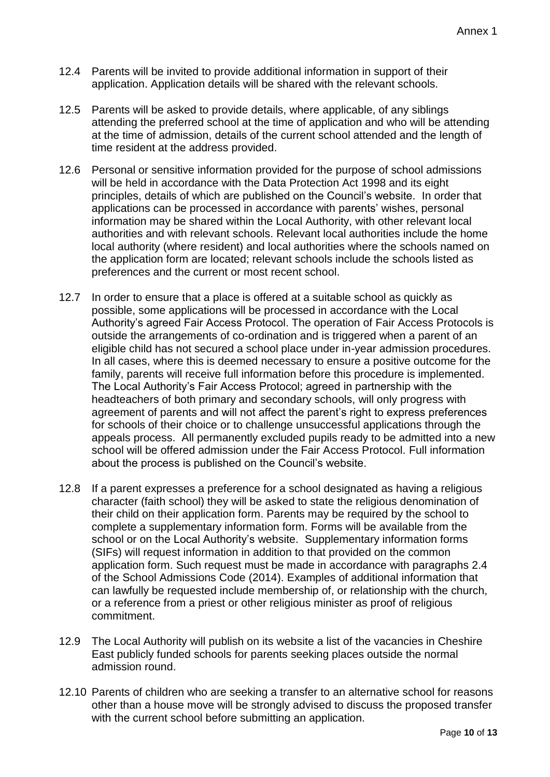- 12.4 Parents will be invited to provide additional information in support of their application. Application details will be shared with the relevant schools.
- 12.5 Parents will be asked to provide details, where applicable, of any siblings attending the preferred school at the time of application and who will be attending at the time of admission, details of the current school attended and the length of time resident at the address provided.
- 12.6 Personal or sensitive information provided for the purpose of school admissions will be held in accordance with the Data Protection Act 1998 and its eight principles, details of which are published on the Council's website. In order that applications can be processed in accordance with parents' wishes, personal information may be shared within the Local Authority, with other relevant local authorities and with relevant schools. Relevant local authorities include the home local authority (where resident) and local authorities where the schools named on the application form are located; relevant schools include the schools listed as preferences and the current or most recent school.
- 12.7 In order to ensure that a place is offered at a suitable school as quickly as possible, some applications will be processed in accordance with the Local Authority's agreed Fair Access Protocol. The operation of Fair Access Protocols is outside the arrangements of co-ordination and is triggered when a parent of an eligible child has not secured a school place under in-year admission procedures. In all cases, where this is deemed necessary to ensure a positive outcome for the family, parents will receive full information before this procedure is implemented. The Local Authority's Fair Access Protocol; agreed in partnership with the headteachers of both primary and secondary schools, will only progress with agreement of parents and will not affect the parent's right to express preferences for schools of their choice or to challenge unsuccessful applications through the appeals process. All permanently excluded pupils ready to be admitted into a new school will be offered admission under the Fair Access Protocol. Full information about the process is published on the Council's website.
- 12.8 If a parent expresses a preference for a school designated as having a religious character (faith school) they will be asked to state the religious denomination of their child on their application form. Parents may be required by the school to complete a supplementary information form. Forms will be available from the school or on the Local Authority's website. Supplementary information forms (SIFs) will request information in addition to that provided on the common application form. Such request must be made in accordance with paragraphs 2.4 of the School Admissions Code (2014). Examples of additional information that can lawfully be requested include membership of, or relationship with the church, or a reference from a priest or other religious minister as proof of religious commitment.
- 12.9 The Local Authority will publish on its website a list of the vacancies in Cheshire East publicly funded schools for parents seeking places outside the normal admission round.
- 12.10 Parents of children who are seeking a transfer to an alternative school for reasons other than a house move will be strongly advised to discuss the proposed transfer with the current school before submitting an application.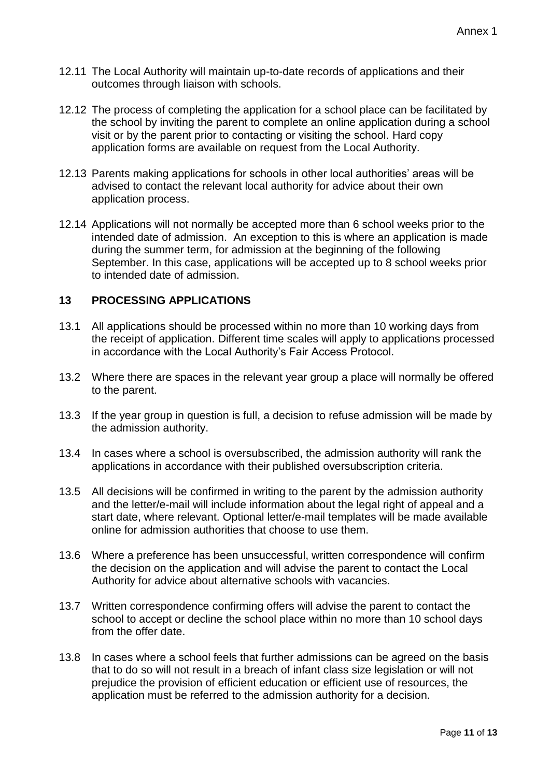- 12.11 The Local Authority will maintain up-to-date records of applications and their outcomes through liaison with schools.
- 12.12 The process of completing the application for a school place can be facilitated by the school by inviting the parent to complete an online application during a school visit or by the parent prior to contacting or visiting the school. Hard copy application forms are available on request from the Local Authority.
- 12.13 Parents making applications for schools in other local authorities' areas will be advised to contact the relevant local authority for advice about their own application process.
- 12.14 Applications will not normally be accepted more than 6 school weeks prior to the intended date of admission. An exception to this is where an application is made during the summer term, for admission at the beginning of the following September. In this case, applications will be accepted up to 8 school weeks prior to intended date of admission.

#### **13 PROCESSING APPLICATIONS**

- 13.1 All applications should be processed within no more than 10 working days from the receipt of application. Different time scales will apply to applications processed in accordance with the Local Authority's Fair Access Protocol.
- 13.2 Where there are spaces in the relevant year group a place will normally be offered to the parent.
- 13.3 If the year group in question is full, a decision to refuse admission will be made by the admission authority.
- 13.4 In cases where a school is oversubscribed, the admission authority will rank the applications in accordance with their published oversubscription criteria.
- 13.5 All decisions will be confirmed in writing to the parent by the admission authority and the letter/e-mail will include information about the legal right of appeal and a start date, where relevant. Optional letter/e-mail templates will be made available online for admission authorities that choose to use them.
- 13.6 Where a preference has been unsuccessful, written correspondence will confirm the decision on the application and will advise the parent to contact the Local Authority for advice about alternative schools with vacancies.
- 13.7 Written correspondence confirming offers will advise the parent to contact the school to accept or decline the school place within no more than 10 school days from the offer date.
- 13.8 In cases where a school feels that further admissions can be agreed on the basis that to do so will not result in a breach of infant class size legislation or will not prejudice the provision of efficient education or efficient use of resources, the application must be referred to the admission authority for a decision.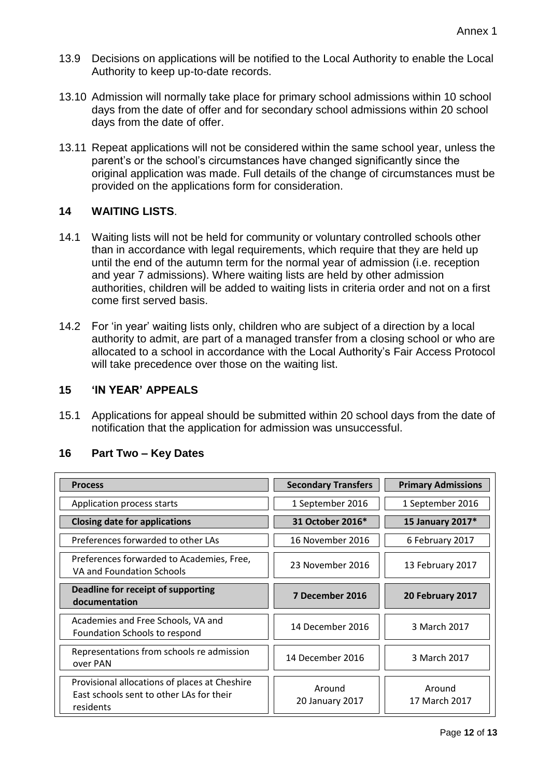- 13.9 Decisions on applications will be notified to the Local Authority to enable the Local Authority to keep up-to-date records.
- 13.10 Admission will normally take place for primary school admissions within 10 school days from the date of offer and for secondary school admissions within 20 school days from the date of offer.
- 13.11 Repeat applications will not be considered within the same school year, unless the parent's or the school's circumstances have changed significantly since the original application was made. Full details of the change of circumstances must be provided on the applications form for consideration.

## **14 WAITING LISTS**.

- 14.1 Waiting lists will not be held for community or voluntary controlled schools other than in accordance with legal requirements, which require that they are held up until the end of the autumn term for the normal year of admission (i.e. reception and year 7 admissions). Where waiting lists are held by other admission authorities, children will be added to waiting lists in criteria order and not on a first come first served basis.
- 14.2 For 'in year' waiting lists only, children who are subject of a direction by a local authority to admit, are part of a managed transfer from a closing school or who are allocated to a school in accordance with the Local Authority's Fair Access Protocol will take precedence over those on the waiting list.

#### **15 'IN YEAR' APPEALS**

15.1 Applications for appeal should be submitted within 20 school days from the date of notification that the application for admission was unsuccessful.

#### **16 Part Two – Key Dates**

| <b>Process</b>                                                                                         | <b>Secondary Transfers</b> | <b>Primary Admissions</b> |
|--------------------------------------------------------------------------------------------------------|----------------------------|---------------------------|
| Application process starts                                                                             | 1 September 2016           | 1 September 2016          |
| <b>Closing date for applications</b>                                                                   | 31 October 2016*           | 15 January 2017*          |
| Preferences forwarded to other LAs                                                                     | 16 November 2016           | 6 February 2017           |
| Preferences forwarded to Academies, Free,<br>VA and Foundation Schools                                 | 23 November 2016           | 13 February 2017          |
| Deadline for receipt of supporting<br>documentation                                                    | 7 December 2016            | 20 February 2017          |
| Academies and Free Schools, VA and<br>Foundation Schools to respond                                    | 14 December 2016           | 3 March 2017              |
| Representations from schools re admission<br>over PAN                                                  | 14 December 2016           | 3 March 2017              |
| Provisional allocations of places at Cheshire<br>East schools sent to other LAs for their<br>residents | Around<br>20 January 2017  | Around<br>17 March 2017   |